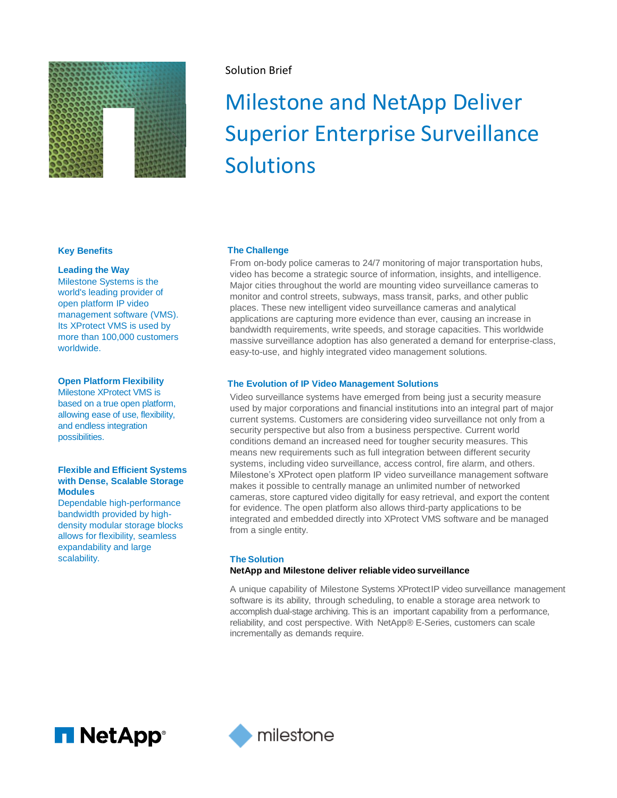

# Solution Brief

# Milestone and NetApp Deliver Superior Enterprise Surveillance **Solutions**

## **Key Benefits**

# **Leading the Way**

Milestone Systems is the world's leading provider of open platform IP video management software (VMS). Its XProtect VMS is used by more than 100,000 customers worldwide.

# **Open Platform Flexibility**

Milestone XProtect VMS is based on a true open platform, allowing ease of use, flexibility, and endless integration possibilities.

# **Flexible and Efficient Systems with Dense, Scalable Storage Modules**

Dependable high-performance bandwidth provided by highdensity modular storage blocks allows for flexibility, seamless expandability and large scalability.

# **The Challenge**

From on-body police cameras to 24/7 monitoring of major transportation hubs, video has become a strategic source of information, insights, and intelligence. Major cities throughout the world are mounting video surveillance cameras to monitor and control streets, subways, mass transit, parks, and other public places. These new intelligent video surveillance cameras and analytical applications are capturing more evidence than ever, causing an increase in bandwidth requirements, write speeds, and storage capacities. This worldwide massive surveillance adoption has also generated a demand for enterprise-class, easy-to-use, and highly integrated video management solutions.

# **The Evolution of IP Video Management Solutions**

Video surveillance systems have emerged from being just a security measure used by major corporations and financial institutions into an integral part of major current systems. Customers are considering video surveillance not only from a security perspective but also from a business perspective. Current world conditions demand an increased need for tougher security measures. This means new requirements such as full integration between different security systems, including video surveillance, access control, fire alarm, and others. Milestone's XProtect open platform IP video surveillance management software makes it possible to centrally manage an unlimited number of networked cameras, store captured video digitally for easy retrieval, and export the content for evidence. The open platform also allows third-party applications to be integrated and embedded directly into XProtect VMS software and be managed from a single entity.

# **The Solution**

# **NetApp and Milestone deliver reliable video surveillance**

A unique capability of Milestone Systems XProtectIP video surveillance management software is its ability, through scheduling, to enable a storage area network to accomplish dual-stage archiving. This is an important capability from a performance, reliability, and cost perspective. With NetApp® E-Series, customers can scale incrementally as demands require.